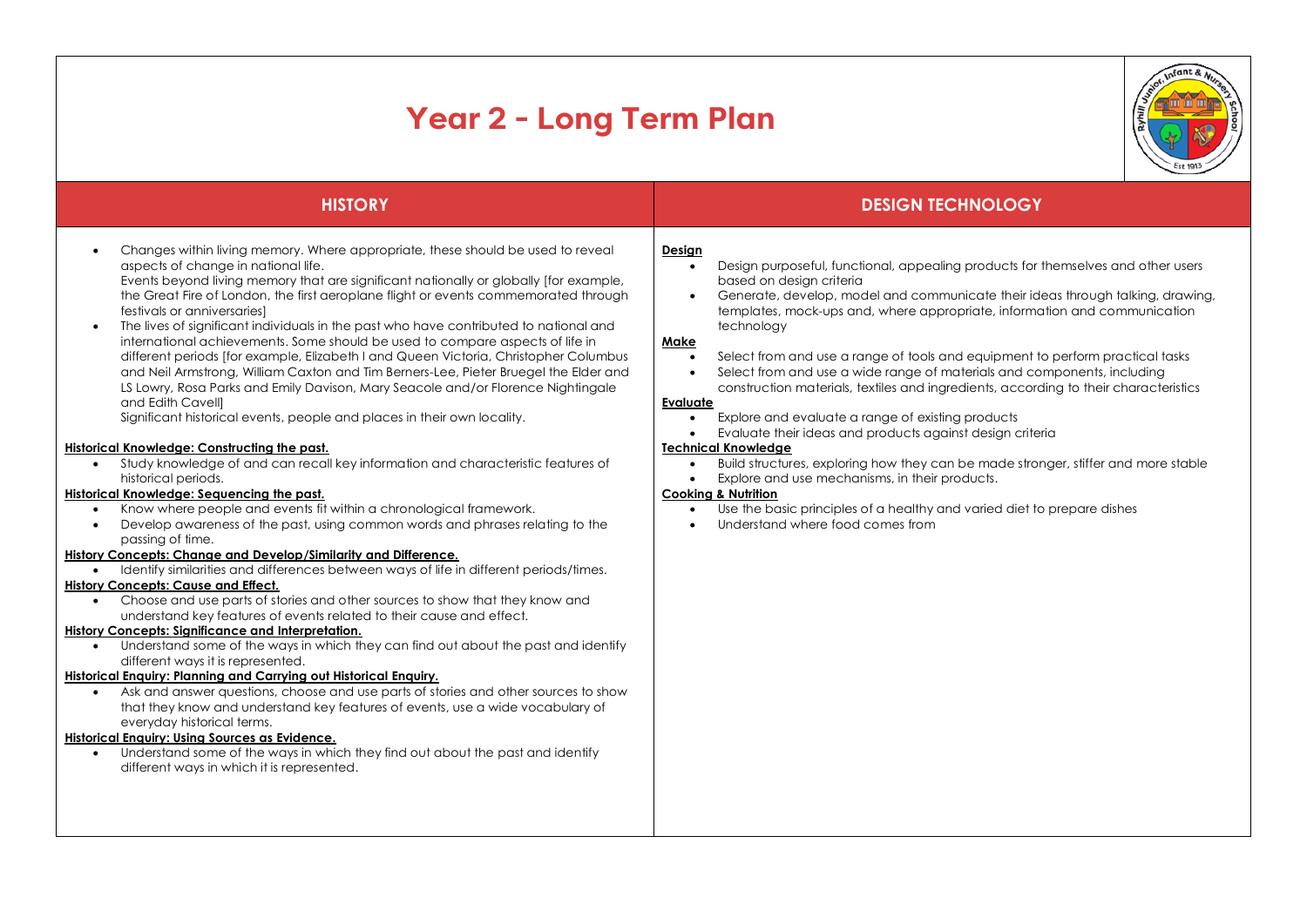# **Year 2 - Long Term Plan**



## **HISTORY DESIGN TECHNOLOGY**

• Changes within living memory. Where appropriate, these should be used to reveal aspects of change in national life.

Events beyond living memory that are significant nationally or globally [for example, the Great Fire of London, the first aeroplane flight or events commemorated through festivals or anniversaries]

• The lives of significant individuals in the past who have contributed to national and international achievements. Some should be used to compare aspects of life in different periods [for example, Elizabeth I and Queen Victoria, Christopher Columbus and Neil Armstrong, William Caxton and Tim Berners-Lee, Pieter Bruegel the Elder and LS Lowry, Rosa Parks and Emily Davison, Mary Seacole and/or Florence Nightingale and Edith Cavell]

Significant historical events, people and places in their own locality.

#### **Historical Knowledge: Constructing the past.**

• Study knowledge of and can recall key information and characteristic features of historical periods.

#### **Historical Knowledge: Sequencing the past.**

- Know where people and events fit within a chronological framework.
- Develop awareness of the past, using common words and phrases relating to the passing of time.

#### **History Concepts: Change and Develop/Similarity and Difference.**

- Identify similarities and differences between ways of life in different periods/times. **History Concepts: Cause and Effect.**
	- Choose and use parts of stories and other sources to show that they know and understand key features of events related to their cause and effect.

#### **History Concepts: Significance and Interpretation.**

• Understand some of the ways in which they can find out about the past and identify different ways it is represented.

#### **Historical Enquiry: Planning and Carrying out Historical Enquiry.**

• Ask and answer questions, choose and use parts of stories and other sources to show that they know and understand key features of events, use a wide vocabulary of everyday historical terms.

#### **Historical Enquiry: Using Sources as Evidence.**

• Understand some of the ways in which they find out about the past and identify different ways in which it is represented.

#### **Design**

- Design purposeful, functional, appealing products for themselves and other users based on design criteria
- Generate, develop, model and communicate their ideas through talking, drawing, templates, mock-ups and, where appropriate, information and communication technology

### **Make**

- Select from and use a range of tools and equipment to perform practical tasks
- Select from and use a wide range of materials and components, including construction materials, textiles and ingredients, according to their characteristics

#### **Evaluate**

- Explore and evaluate a range of existing products
- Evaluate their ideas and products against design criteria

#### **Technical Knowledge**

- Build structures, exploring how they can be made stronger, stiffer and more stable
- Explore and use mechanisms, in their products.

#### **Cooking & Nutrition**

- Use the basic principles of a healthy and varied diet to prepare dishes
- Understand where food comes from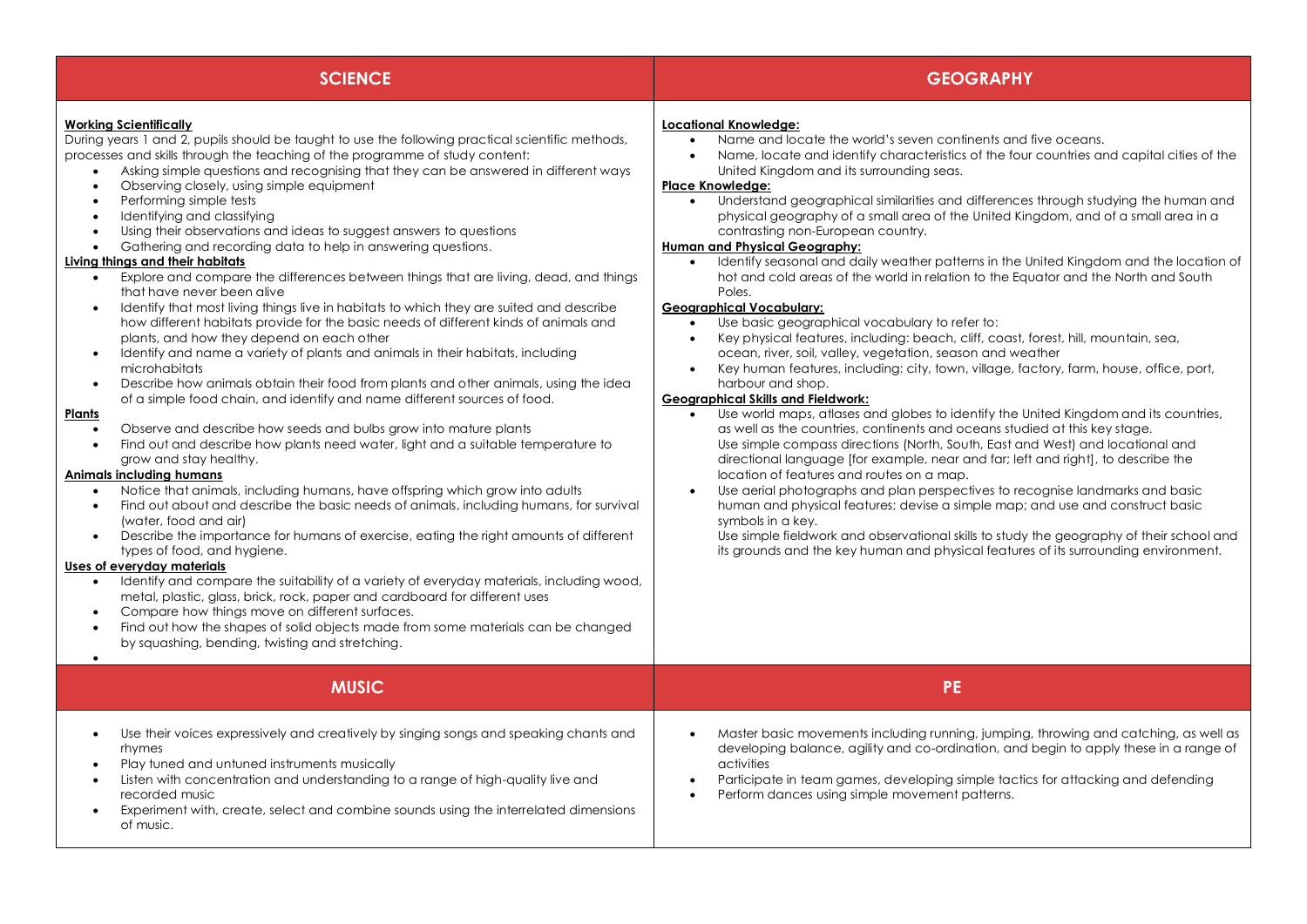| <b>SCIENCE</b>                                                                                                                                                                                                                                                                                                                                                                                                                                                                                                                                                                                                                                                                                                                                                                                                                                                                                                                                                                                                                                                                                                                                                                                                                                                                                                                                                                                                                                                                                                                                                                                                                                                                                                                                                                                                                                                                                                                                                                                                                                                                                                                                                                                                                              | <b>GEOGRAPHY</b>                                                                                                                                                                                                                                                                                                                                                                                                                                                                                                                                                                                                                                                                                                                                                                                                                                                                                                                                                                                                                                                                                                                                                                                                                                                                                                                                                                                                                                                                                                                                                                                                                                                                                                                                                                                                                                                                                                                                                                     |
|---------------------------------------------------------------------------------------------------------------------------------------------------------------------------------------------------------------------------------------------------------------------------------------------------------------------------------------------------------------------------------------------------------------------------------------------------------------------------------------------------------------------------------------------------------------------------------------------------------------------------------------------------------------------------------------------------------------------------------------------------------------------------------------------------------------------------------------------------------------------------------------------------------------------------------------------------------------------------------------------------------------------------------------------------------------------------------------------------------------------------------------------------------------------------------------------------------------------------------------------------------------------------------------------------------------------------------------------------------------------------------------------------------------------------------------------------------------------------------------------------------------------------------------------------------------------------------------------------------------------------------------------------------------------------------------------------------------------------------------------------------------------------------------------------------------------------------------------------------------------------------------------------------------------------------------------------------------------------------------------------------------------------------------------------------------------------------------------------------------------------------------------------------------------------------------------------------------------------------------------|--------------------------------------------------------------------------------------------------------------------------------------------------------------------------------------------------------------------------------------------------------------------------------------------------------------------------------------------------------------------------------------------------------------------------------------------------------------------------------------------------------------------------------------------------------------------------------------------------------------------------------------------------------------------------------------------------------------------------------------------------------------------------------------------------------------------------------------------------------------------------------------------------------------------------------------------------------------------------------------------------------------------------------------------------------------------------------------------------------------------------------------------------------------------------------------------------------------------------------------------------------------------------------------------------------------------------------------------------------------------------------------------------------------------------------------------------------------------------------------------------------------------------------------------------------------------------------------------------------------------------------------------------------------------------------------------------------------------------------------------------------------------------------------------------------------------------------------------------------------------------------------------------------------------------------------------------------------------------------------|
|                                                                                                                                                                                                                                                                                                                                                                                                                                                                                                                                                                                                                                                                                                                                                                                                                                                                                                                                                                                                                                                                                                                                                                                                                                                                                                                                                                                                                                                                                                                                                                                                                                                                                                                                                                                                                                                                                                                                                                                                                                                                                                                                                                                                                                             |                                                                                                                                                                                                                                                                                                                                                                                                                                                                                                                                                                                                                                                                                                                                                                                                                                                                                                                                                                                                                                                                                                                                                                                                                                                                                                                                                                                                                                                                                                                                                                                                                                                                                                                                                                                                                                                                                                                                                                                      |
| Working Scientifically<br>During years 1 and 2, pupils should be taught to use the following practical scientific methods,<br>processes and skills through the teaching of the programme of study content:<br>Asking simple questions and recognising that they can be answered in different ways<br>Observing closely, using simple equipment<br>Performing simple tests<br>$\bullet$<br>Identifying and classifying<br>$\bullet$<br>Using their observations and ideas to suggest answers to questions<br>Gathering and recording data to help in answering questions.<br>$\bullet$<br>Living things and their habitats<br>Explore and compare the differences between things that are living, dead, and things<br>$\bullet$<br>that have never been alive<br>Identify that most living things live in habitats to which they are suited and describe<br>how different habitats provide for the basic needs of different kinds of animals and<br>plants, and how they depend on each other<br>Identify and name a variety of plants and animals in their habitats, including<br>microhabitats<br>Describe how animals obtain their food from plants and other animals, using the idea<br>of a simple food chain, and identify and name different sources of food.<br>Plants<br>Observe and describe how seeds and bulbs grow into mature plants<br>Find out and describe how plants need water, light and a suitable temperature to<br>grow and stay healthy.<br><b>Animals including humans</b><br>Notice that animals, including humans, have offspring which grow into adults<br>Find out about and describe the basic needs of animals, including humans, for survival<br>$\bullet$<br>(water, food and air)<br>Describe the importance for humans of exercise, eating the right amounts of different<br>types of food, and hygiene.<br>Uses of everyday materials<br>Identify and compare the suitability of a variety of everyday materials, including wood,<br>metal, plastic, glass, brick, rock, paper and cardboard for different uses<br>Compare how things move on different surfaces.<br>Find out how the shapes of solid objects made from some materials can be changed<br>by squashing, bending, twisting and stretching. | Locational Knowledge:<br>Name and locate the world's seven continents and five oceans.<br>$\bullet$<br>Name, locate and identify characteristics of the four countries and capital cities of the<br>$\bullet$<br>United Kingdom and its surrounding seas.<br><b>Place Knowledge:</b><br>Understand geographical similarities and differences through studying the human and<br>$\bullet$<br>physical geography of a small area of the United Kingdom, and of a small area in a<br>contrasting non-European country.<br><b>Human and Physical Geography:</b><br>Identify seasonal and daily weather patterns in the United Kingdom and the location of<br>hot and cold areas of the world in relation to the Equator and the North and South<br>Poles.<br><b>Geographical Vocabulary:</b><br>Use basic geographical vocabulary to refer to:<br>$\bullet$<br>Key physical features, including: beach, cliff, coast, forest, hill, mountain, sea,<br>$\bullet$<br>ocean, river, soil, valley, vegetation, season and weather<br>Key human features, including: city, town, village, factory, farm, house, office, port,<br>harbour and shop.<br><b>Geographical Skills and Fieldwork:</b><br>Use world maps, atlases and globes to identify the United Kingdom and its countries,<br>$\bullet$<br>as well as the countries, continents and oceans studied at this key stage.<br>Use simple compass directions (North, South, East and West) and locational and<br>directional language [for example, near and far; left and right], to describe the<br>location of features and routes on a map.<br>Use aerial photographs and plan perspectives to recognise landmarks and basic<br>$\bullet$<br>human and physical features; devise a simple map; and use and construct basic<br>symbols in a key.<br>Use simple fieldwork and observational skills to study the geography of their school and<br>its grounds and the key human and physical features of its surrounding environment. |
| <b>MUSIC</b>                                                                                                                                                                                                                                                                                                                                                                                                                                                                                                                                                                                                                                                                                                                                                                                                                                                                                                                                                                                                                                                                                                                                                                                                                                                                                                                                                                                                                                                                                                                                                                                                                                                                                                                                                                                                                                                                                                                                                                                                                                                                                                                                                                                                                                | <b>PE</b>                                                                                                                                                                                                                                                                                                                                                                                                                                                                                                                                                                                                                                                                                                                                                                                                                                                                                                                                                                                                                                                                                                                                                                                                                                                                                                                                                                                                                                                                                                                                                                                                                                                                                                                                                                                                                                                                                                                                                                            |
| Use their voices expressively and creatively by singing songs and speaking chants and<br>$\bullet$<br>rhymes<br>Play tuned and untuned instruments musically<br>Listen with concentration and understanding to a range of high-quality live and<br>recorded music<br>Experiment with, create, select and combine sounds using the interrelated dimensions<br>of music.                                                                                                                                                                                                                                                                                                                                                                                                                                                                                                                                                                                                                                                                                                                                                                                                                                                                                                                                                                                                                                                                                                                                                                                                                                                                                                                                                                                                                                                                                                                                                                                                                                                                                                                                                                                                                                                                      | Master basic movements including running, jumping, throwing and catching, as well as<br>developing balance, agility and co-ordination, and begin to apply these in a range of<br>activities<br>Participate in team games, developing simple tactics for attacking and defending<br>$\bullet$<br>Perform dances using simple movement patterns.                                                                                                                                                                                                                                                                                                                                                                                                                                                                                                                                                                                                                                                                                                                                                                                                                                                                                                                                                                                                                                                                                                                                                                                                                                                                                                                                                                                                                                                                                                                                                                                                                                       |